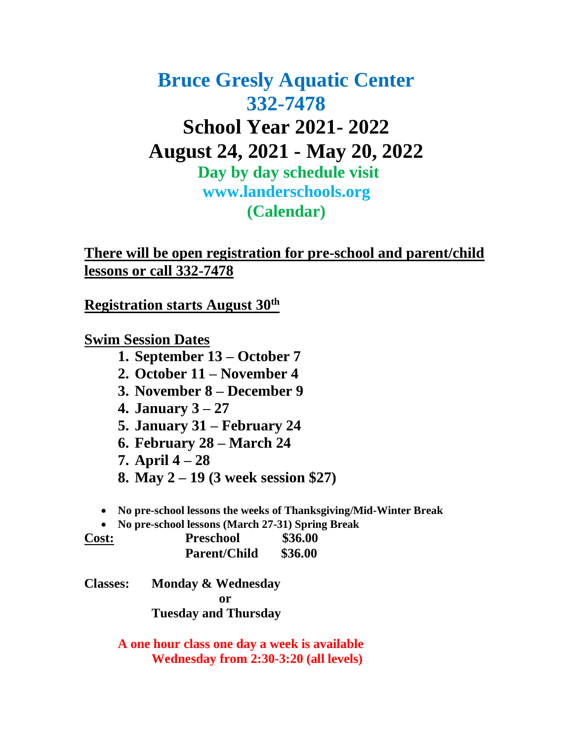# **Bruce Gresly Aquatic Center 332-7478 School Year 2021- 2022 August 24, 2021 - May 20, 2022 Day by day schedule visit www.landerschools.org (Calendar)**

**There will be open registration for pre-school and parent/child lessons or call 332-7478**

**Registration starts August 30th**

**Swim Session Dates**

- **1. September 13 – October 7**
- **2. October 11 – November 4**
- **3. November 8 – December 9**
- **4. January 3 – 27**
- **5. January 31 – February 24**
- **6. February 28 – March 24**
- **7. April 4 – 28**
- **8. May 2 – 19 (3 week session \$27)**

• **No pre-school lessons the weeks of Thanksgiving/Mid-Winter Break**

• **No pre-school lessons (March 27-31) Spring Break**

| <b>Cost:</b> | <b>Preschool</b>    | \$36.00 |  |
|--------------|---------------------|---------|--|
|              | <b>Parent/Child</b> | \$36.00 |  |

**Classes: Monday & Wednesday or Tuesday and Thursday**

> **A one hour class one day a week is available Wednesday from 2:30-3:20 (all levels)**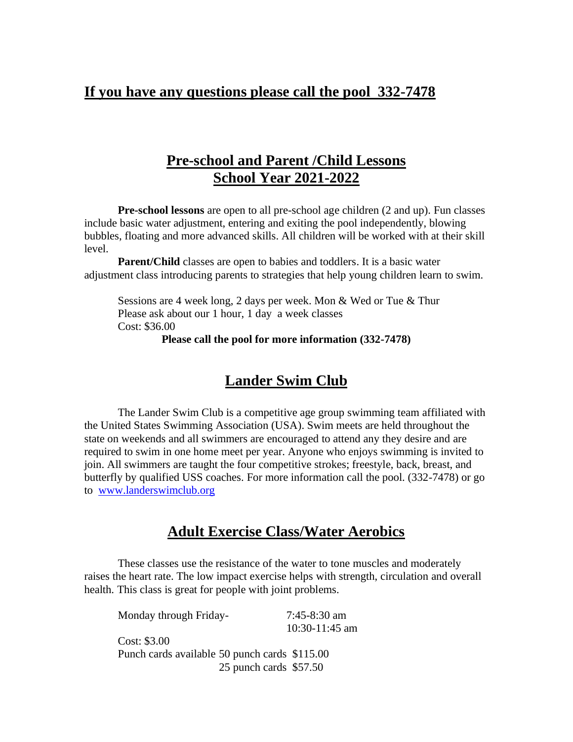### **If you have any questions please call the pool 332-7478**

## **Pre-school and Parent /Child Lessons School Year 2021-2022**

**Pre-school lessons** are open to all pre-school age children (2 and up). Fun classes include basic water adjustment, entering and exiting the pool independently, blowing bubbles, floating and more advanced skills. All children will be worked with at their skill level.

**Parent/Child** classes are open to babies and toddlers. It is a basic water adjustment class introducing parents to strategies that help young children learn to swim.

Sessions are 4 week long, 2 days per week. Mon & Wed or Tue & Thur Please ask about our 1 hour, 1 day a week classes Cost: \$36.00

**Please call the pool for more information (332-7478)**

## **Lander Swim Club**

The Lander Swim Club is a competitive age group swimming team affiliated with the United States Swimming Association (USA). Swim meets are held throughout the state on weekends and all swimmers are encouraged to attend any they desire and are required to swim in one home meet per year. Anyone who enjoys swimming is invited to join. All swimmers are taught the four competitive strokes; freestyle, back, breast, and butterfly by qualified USS coaches. For more information call the pool. (332-7478) or go to [www.landerswimclub.org](http://www.landerswimclub.org/)

#### **Adult Exercise Class/Water Aerobics**

These classes use the resistance of the water to tone muscles and moderately raises the heart rate. The low impact exercise helps with strength, circulation and overall health. This class is great for people with joint problems.

Monday through Friday- 7:45-8:30 am 10:30-11:45 am Cost: \$3.00 Punch cards available 50 punch cards \$115.00 25 punch cards \$57.50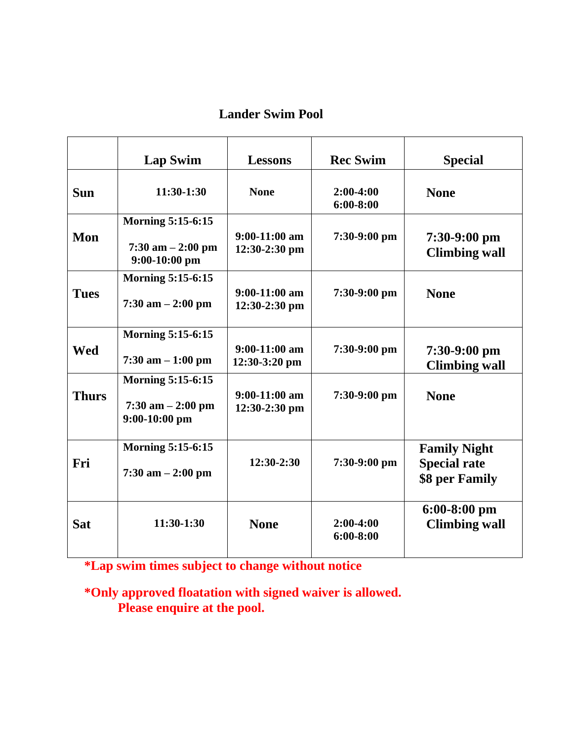#### **Lander Swim Pool**

|              | <b>Lap Swim</b>                                                     | <b>Lessons</b>                     | <b>Rec Swim</b>              | <b>Special</b>                                               |
|--------------|---------------------------------------------------------------------|------------------------------------|------------------------------|--------------------------------------------------------------|
| <b>Sun</b>   | 11:30-1:30                                                          | <b>None</b>                        | $2:00-4:00$<br>$6:00 - 8:00$ | <b>None</b>                                                  |
| Mon          | <b>Morning 5:15-6:15</b><br>$7:30$ am $-2:00$ pm<br>$9:00-10:00$ pm | $9:00-11:00$ am<br>$12:30-2:30$ pm | $7:30-9:00$ pm               | $7:30-9:00$ pm<br><b>Climbing wall</b>                       |
| <b>Tues</b>  | <b>Morning 5:15-6:15</b><br>$7:30$ am $-2:00$ pm                    | $9:00-11:00$ am<br>$12:30-2:30$ pm | $7:30-9:00$ pm               | <b>None</b>                                                  |
| <b>Wed</b>   | <b>Morning 5:15-6:15</b><br>$7:30$ am $-1:00$ pm                    | $9:00-11:00$ am<br>$12:30-3:20$ pm | $7:30-9:00$ pm               | 7:30-9:00 pm<br><b>Climbing wall</b>                         |
| <b>Thurs</b> | <b>Morning 5:15-6:15</b><br>$7:30$ am $-2:00$ pm<br>$9:00-10:00$ pm | $9:00-11:00$ am<br>12:30-2:30 pm   | $7:30-9:00$ pm               | <b>None</b>                                                  |
| Fri          | <b>Morning 5:15-6:15</b><br>$7:30$ am $-2:00$ pm                    | $12:30-2:30$                       | $7:30-9:00$ pm               | <b>Family Night</b><br><b>Special rate</b><br>\$8 per Family |
| <b>Sat</b>   | 11:30-1:30                                                          | <b>None</b>                        | $2:00-4:00$<br>$6:00 - 8:00$ | $6:00-8:00$ pm<br><b>Climbing wall</b>                       |

**\*Lap swim times subject to change without notice**

**\*Only approved floatation with signed waiver is allowed. Please enquire at the pool.**